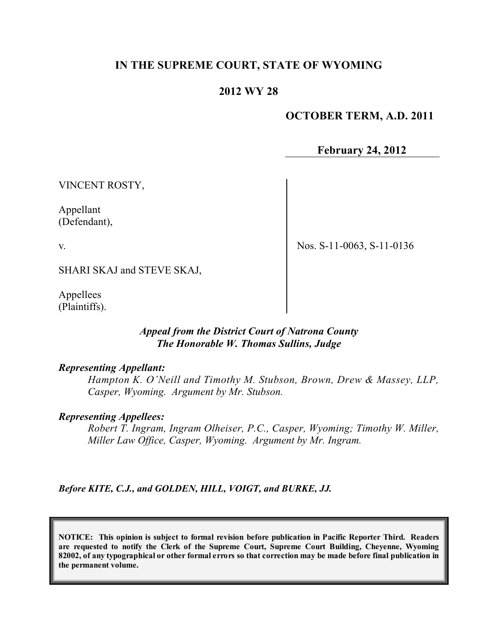## **IN THE SUPREME COURT, STATE OF WYOMING**

## **2012 WY 28**

### **OCTOBER TERM, A.D. 2011**

**February 24, 2012**

VINCENT ROSTY,

Appellant (Defendant),

v.

Nos. S-11-0063, S-11-0136

SHARI SKAJ and STEVE SKAJ,

Appellees (Plaintiffs).

### *Appeal from the District Court of Natrona County The Honorable W. Thomas Sullins, Judge*

#### *Representing Appellant:*

*Hampton K. O'Neill and Timothy M. Stubson, Brown, Drew & Massey, LLP, Casper, Wyoming. Argument by Mr. Stubson.*

#### *Representing Appellees:*

*Robert T. Ingram, Ingram Olheiser, P.C., Casper, Wyoming; Timothy W. Miller, Miller Law Office, Casper, Wyoming. Argument by Mr. Ingram.*

*Before KITE, C.J., and GOLDEN, HILL, VOIGT, and BURKE, JJ.*

**NOTICE: This opinion is subject to formal revision before publication in Pacific Reporter Third. Readers are requested to notify the Clerk of the Supreme Court, Supreme Court Building, Cheyenne, Wyoming** 82002, of any typographical or other formal errors so that correction may be made before final publication in **the permanent volume.**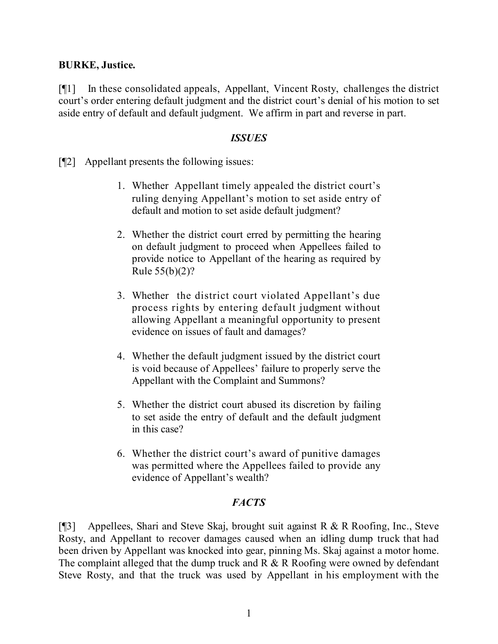### **BURKE, Justice.**

[¶1] In these consolidated appeals, Appellant, Vincent Rosty, challenges the district court's order entering default judgment and the district court's denial of his motion to set aside entry of default and default judgment. We affirm in part and reverse in part.

### *ISSUES*

[¶2] Appellant presents the following issues:

- 1. Whether Appellant timely appealed the district court's ruling denying Appellant's motion to set aside entry of default and motion to set aside default judgment?
- 2. Whether the district court erred by permitting the hearing on default judgment to proceed when Appellees failed to provide notice to Appellant of the hearing as required by Rule 55(b)(2)?
- 3. Whether the district court violated Appellant's due process rights by entering default judgment without allowing Appellant a meaningful opportunity to present evidence on issues of fault and damages?
- 4. Whether the default judgment issued by the district court is void because of Appellees' failure to properly serve the Appellant with the Complaint and Summons?
- 5. Whether the district court abused its discretion by failing to set aside the entry of default and the default judgment in this case?
- 6. Whether the district court's award of punitive damages was permitted where the Appellees failed to provide any evidence of Appellant's wealth?

# *FACTS*

[¶3] Appellees, Shari and Steve Skaj, brought suit against R & R Roofing, Inc., Steve Rosty, and Appellant to recover damages caused when an idling dump truck that had been driven by Appellant was knocked into gear, pinning Ms. Skaj against a motor home. The complaint alleged that the dump truck and  $R \& R$  Roofing were owned by defendant Steve Rosty, and that the truck was used by Appellant in his employment with the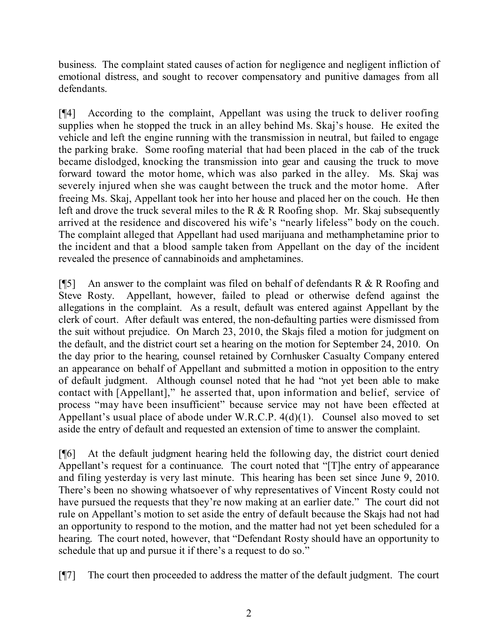business. The complaint stated causes of action for negligence and negligent infliction of emotional distress, and sought to recover compensatory and punitive damages from all defendants.

[¶4] According to the complaint, Appellant was using the truck to deliver roofing supplies when he stopped the truck in an alley behind Ms. Skaj's house. He exited the vehicle and left the engine running with the transmission in neutral, but failed to engage the parking brake. Some roofing material that had been placed in the cab of the truck became dislodged, knocking the transmission into gear and causing the truck to move forward toward the motor home, which was also parked in the alley. Ms. Skaj was severely injured when she was caught between the truck and the motor home. After freeing Ms. Skaj, Appellant took her into her house and placed her on the couch. He then left and drove the truck several miles to the R & R Roofing shop. Mr. Skaj subsequently arrived at the residence and discovered his wife's "nearly lifeless" body on the couch. The complaint alleged that Appellant had used marijuana and methamphetamine prior to the incident and that a blood sample taken from Appellant on the day of the incident revealed the presence of cannabinoids and amphetamines.

[¶5] An answer to the complaint was filed on behalf of defendants R & R Roofing and Steve Rosty. Appellant, however, failed to plead or otherwise defend against the allegations in the complaint. As a result, default was entered against Appellant by the clerk of court. After default was entered, the non-defaulting parties were dismissed from the suit without prejudice. On March 23, 2010, the Skajs filed a motion for judgment on the default, and the district court set a hearing on the motion for September 24, 2010. On the day prior to the hearing, counsel retained by Cornhusker Casualty Company entered an appearance on behalf of Appellant and submitted a motion in opposition to the entry of default judgment. Although counsel noted that he had "not yet been able to make contact with [Appellant]," he asserted that, upon information and belief, service of process "may have been insufficient" because service may not have been effected at Appellant's usual place of abode under W.R.C.P.  $4(d)(1)$ . Counsel also moved to set aside the entry of default and requested an extension of time to answer the complaint.

[¶6] At the default judgment hearing held the following day, the district court denied Appellant's request for a continuance. The court noted that "[T] he entry of appearance and filing yesterday is very last minute. This hearing has been set since June 9, 2010. There's been no showing whatsoever of why representatives of Vincent Rosty could not have pursued the requests that they're now making at an earlier date." The court did not rule on Appellant's motion to set aside the entry of default because the Skajs had not had an opportunity to respond to the motion, and the matter had not yet been scheduled for a hearing. The court noted, however, that "Defendant Rosty should have an opportunity to schedule that up and pursue it if there's a request to do so."

[¶7] The court then proceeded to address the matter of the default judgment. The court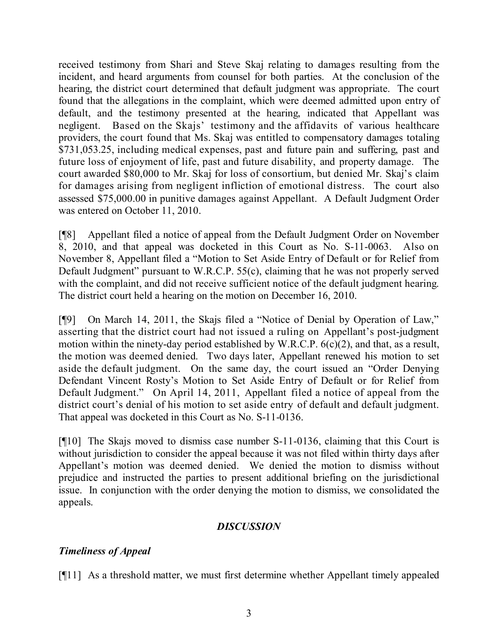received testimony from Shari and Steve Skaj relating to damages resulting from the incident, and heard arguments from counsel for both parties. At the conclusion of the hearing, the district court determined that default judgment was appropriate. The court found that the allegations in the complaint, which were deemed admitted upon entry of default, and the testimony presented at the hearing, indicated that Appellant was negligent. Based on the Skajs' testimony and the affidavits of various healthcare providers, the court found that Ms. Skaj was entitled to compensatory damages totaling \$731,053.25, including medical expenses, past and future pain and suffering, past and future loss of enjoyment of life, past and future disability, and property damage. The court awarded \$80,000 to Mr. Skaj for loss of consortium, but denied Mr. Skaj's claim for damages arising from negligent infliction of emotional distress. The court also assessed \$75,000.00 in punitive damages against Appellant. A Default Judgment Order was entered on October 11, 2010.

[¶8] Appellant filed a notice of appeal from the Default Judgment Order on November 8, 2010, and that appeal was docketed in this Court as No. S-11-0063. Also on November 8, Appellant filed a "Motion to Set Aside Entry of Default or for Relief from Default Judgment" pursuant to W.R.C.P. 55(c), claiming that he was not properly served with the complaint, and did not receive sufficient notice of the default judgment hearing. The district court held a hearing on the motion on December 16, 2010.

[¶9] On March 14, 2011, the Skajs filed a "Notice of Denial by Operation of Law," asserting that the district court had not issued a ruling on Appellant's post-judgment motion within the ninety-day period established by W.R.C.P. 6(c)(2), and that, as a result, the motion was deemed denied. Two days later, Appellant renewed his motion to set aside the default judgment. On the same day, the court issued an "Order Denying Defendant Vincent Rosty's Motion to Set Aside Entry of Default or for Relief from Default Judgment." On April 14, 2011, Appellant filed a notice of appeal from the district court's denial of his motion to set aside entry of default and default judgment. That appeal was docketed in this Court as No. S-11-0136.

[¶10] The Skajs moved to dismiss case number S-11-0136, claiming that this Court is without jurisdiction to consider the appeal because it was not filed within thirty days after Appellant's motion was deemed denied. We denied the motion to dismiss without prejudice and instructed the parties to present additional briefing on the jurisdictional issue. In conjunction with the order denying the motion to dismiss, we consolidated the appeals.

## *DISCUSSION*

# *Timeliness of Appeal*

[¶11] As a threshold matter, we must first determine whether Appellant timely appealed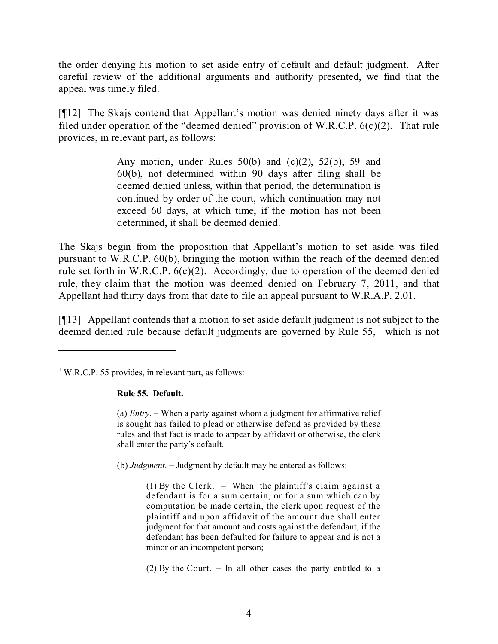the order denying his motion to set aside entry of default and default judgment. After careful review of the additional arguments and authority presented, we find that the appeal was timely filed.

[¶12] The Skajs contend that Appellant's motion was denied ninety days after it was filed under operation of the "deemed denied" provision of W.R.C.P. 6(c)(2). That rule provides, in relevant part, as follows:

> Any motion, under Rules 50(b) and (c)(2), 52(b), 59 and 60(b), not determined within 90 days after filing shall be deemed denied unless, within that period, the determination is continued by order of the court, which continuation may not exceed 60 days, at which time, if the motion has not been determined, it shall be deemed denied.

The Skajs begin from the proposition that Appellant's motion to set aside was filed pursuant to W.R.C.P. 60(b), bringing the motion within the reach of the deemed denied rule set forth in W.R.C.P. 6(c)(2). Accordingly, due to operation of the deemed denied rule, they claim that the motion was deemed denied on February 7, 2011, and that Appellant had thirty days from that date to file an appeal pursuant to W.R.A.P. 2.01.

[¶13] Appellant contends that a motion to set aside default judgment is not subject to the deemed denied rule because default judgments are governed by Rule 55, which is not

#### **Rule 55. Default.**

(b) *Judgment*. – Judgment by default may be entered as follows:

(1) By the Clerk. – When the plaintiff's claim against a defendant is for a sum certain, or for a sum which can by computation be made certain, the clerk upon request of the plaintiff and upon affidavit of the amount due shall enter judgment for that amount and costs against the defendant, if the defendant has been defaulted for failure to appear and is not a minor or an incompetent person;

(2) By the Court. – In all other cases the party entitled to a

 $1$  W.R.C.P. 55 provides, in relevant part, as follows:

<sup>(</sup>a) *Entry*. – When a party against whom a judgment for affirmative relief is sought has failed to plead or otherwise defend as provided by these rules and that fact is made to appear by affidavit or otherwise, the clerk shall enter the party's default.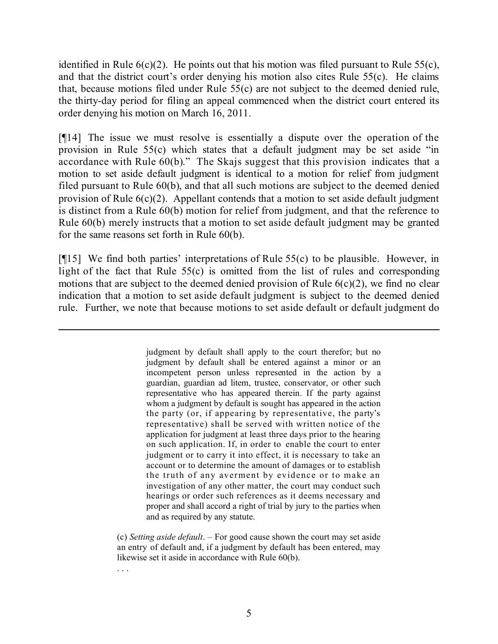identified in Rule  $6(c)(2)$ . He points out that his motion was filed pursuant to Rule 55(c), and that the district court's order denying his motion also cites Rule 55(c). He claims that, because motions filed under Rule 55(c) are not subject to the deemed denied rule, the thirty-day period for filing an appeal commenced when the district court entered its order denying his motion on March 16, 2011.

[¶14] The issue we must resolve is essentially a dispute over the operation of the provision in Rule 55(c) which states that a default judgment may be set aside "in accordance with Rule 60(b)." The Skajs suggest that this provision indicates that a motion to set aside default judgment is identical to a motion for relief from judgment filed pursuant to Rule 60(b), and that all such motions are subject to the deemed denied provision of Rule  $6(c)(2)$ . Appellant contends that a motion to set aside default judgment is distinct from a Rule 60(b) motion for relief from judgment, and that the reference to Rule 60(b) merely instructs that a motion to set aside default judgment may be granted for the same reasons set forth in Rule 60(b).

[¶15] We find both parties' interpretations of Rule 55(c) to be plausible. However, in light of the fact that Rule 55(c) is omitted from the list of rules and corresponding motions that are subject to the deemed denied provision of Rule  $6(c)(2)$ , we find no clear indication that a motion to set aside default judgment is subject to the deemed denied rule. Further, we note that because motions to set aside default or default judgment do

> judgment by default shall apply to the court therefor; but no judgment by default shall be entered against a minor or an incompetent person unless represented in the action by a guardian, guardian ad litem, trustee, conservator, or other such representative who has appeared therein. If the party against whom a judgment by default is sought has appeared in the action the party (or, if appearing by representative, the party's representative) shall be served with written notice of the application for judgment at least three days prior to the hearing on such application. If, in order to enable the court to enter judgment or to carry it into effect, it is necessary to take an account or to determine the amount of damages or to establish the truth of any averment by evidence or to make an investigation of any other matter, the court may conduct such hearings or order such references as it deems necessary and proper and shall accord a right of trial by jury to the parties when and as required by any statute.

 $\overline{a}$ 

(c) *Setting aside default*. – For good cause shown the court may set aside an entry of default and, if a judgment by default has been entered, may likewise set it aside in accordance with Rule 60(b).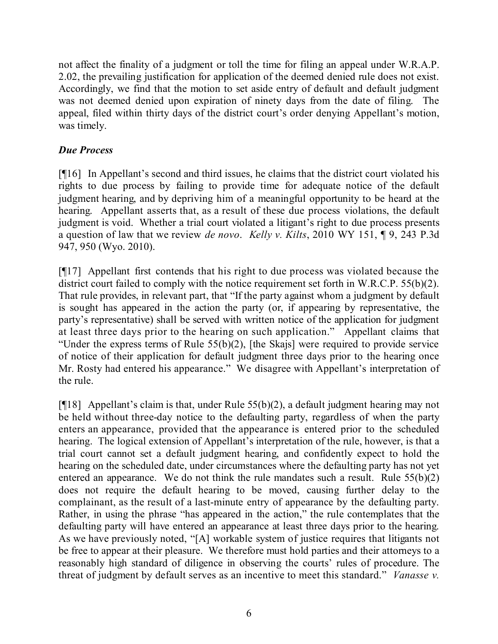not affect the finality of a judgment or toll the time for filing an appeal under W.R.A.P. 2.02, the prevailing justification for application of the deemed denied rule does not exist. Accordingly, we find that the motion to set aside entry of default and default judgment was not deemed denied upon expiration of ninety days from the date of filing. The appeal, filed within thirty days of the district court's order denying Appellant's motion, was timely.

# *Due Process*

[¶16] In Appellant's second and third issues, he claims that the district court violated his rights to due process by failing to provide time for adequate notice of the default judgment hearing, and by depriving him of a meaningful opportunity to be heard at the hearing. Appellant asserts that, as a result of these due process violations, the default judgment is void. Whether a trial court violated a litigant's right to due process presents a question of law that we review *de novo*. *Kelly v. Kilts*, 2010 WY 151, ¶ 9, 243 P.3d 947, 950 (Wyo. 2010).

[¶17] Appellant first contends that his right to due process was violated because the district court failed to comply with the notice requirement set forth in W.R.C.P. 55(b)(2). That rule provides, in relevant part, that "If the party against whom a judgment by default is sought has appeared in the action the party (or, if appearing by representative, the party's representative) shall be served with written notice of the application for judgment at least three days prior to the hearing on such application." Appellant claims that "Under the express terms of Rule  $55(b)(2)$ , [the Skajs] were required to provide service of notice of their application for default judgment three days prior to the hearing once Mr. Rosty had entered his appearance." We disagree with Appellant's interpretation of the rule.

[¶18] Appellant's claim is that, under Rule 55(b)(2), a default judgment hearing may not be held without three-day notice to the defaulting party, regardless of when the party enters an appearance, provided that the appearance is entered prior to the scheduled hearing. The logical extension of Appellant's interpretation of the rule, however, is that a trial court cannot set a default judgment hearing, and confidently expect to hold the hearing on the scheduled date, under circumstances where the defaulting party has not yet entered an appearance. We do not think the rule mandates such a result. Rule 55(b)(2) does not require the default hearing to be moved, causing further delay to the complainant, as the result of a last-minute entry of appearance by the defaulting party. Rather, in using the phrase "has appeared in the action," the rule contemplates that the defaulting party will have entered an appearance at least three days prior to the hearing. As we have previously noted, "[A] workable system of justice requires that litigants not be free to appear at their pleasure. We therefore must hold parties and their attorneys to a reasonably high standard of diligence in observing the courts' rules of procedure. The threat of judgment by default serves as an incentive to meet this standard." *Vanasse v.*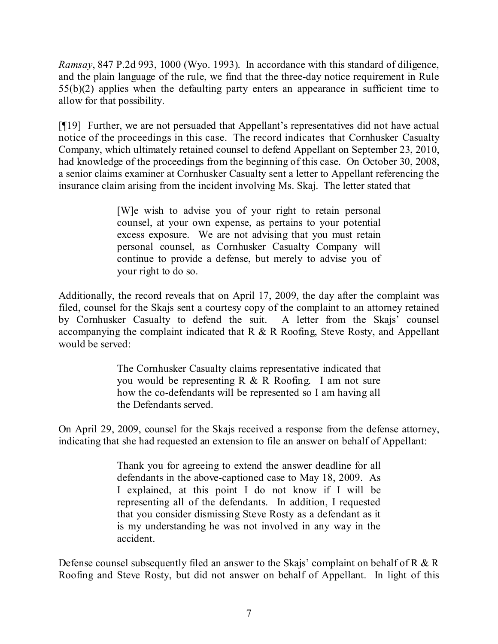*Ramsay*, 847 P.2d 993, 1000 (Wyo. 1993). In accordance with this standard of diligence, and the plain language of the rule, we find that the three-day notice requirement in Rule 55(b)(2) applies when the defaulting party enters an appearance in sufficient time to allow for that possibility.

[¶19] Further, we are not persuaded that Appellant's representatives did not have actual notice of the proceedings in this case. The record indicates that Cornhusker Casualty Company, which ultimately retained counsel to defend Appellant on September 23, 2010, had knowledge of the proceedings from the beginning of this case. On October 30, 2008, a senior claims examiner at Cornhusker Casualty sent a letter to Appellant referencing the insurance claim arising from the incident involving Ms. Skaj. The letter stated that

> [W]e wish to advise you of your right to retain personal counsel, at your own expense, as pertains to your potential excess exposure. We are not advising that you must retain personal counsel, as Cornhusker Casualty Company will continue to provide a defense, but merely to advise you of your right to do so.

Additionally, the record reveals that on April 17, 2009, the day after the complaint was filed, counsel for the Skajs sent a courtesy copy of the complaint to an attorney retained by Cornhusker Casualty to defend the suit. A letter from the Skajs' counsel accompanying the complaint indicated that R & R Roofing, Steve Rosty, and Appellant would be served:

> The Cornhusker Casualty claims representative indicated that you would be representing R & R Roofing. I am not sure how the co-defendants will be represented so I am having all the Defendants served.

On April 29, 2009, counsel for the Skajs received a response from the defense attorney, indicating that she had requested an extension to file an answer on behalf of Appellant:

> Thank you for agreeing to extend the answer deadline for all defendants in the above-captioned case to May 18, 2009. As I explained, at this point I do not know if I will be representing all of the defendants. In addition, I requested that you consider dismissing Steve Rosty as a defendant as it is my understanding he was not involved in any way in the accident.

Defense counsel subsequently filed an answer to the Skajs' complaint on behalf of R & R Roofing and Steve Rosty, but did not answer on behalf of Appellant. In light of this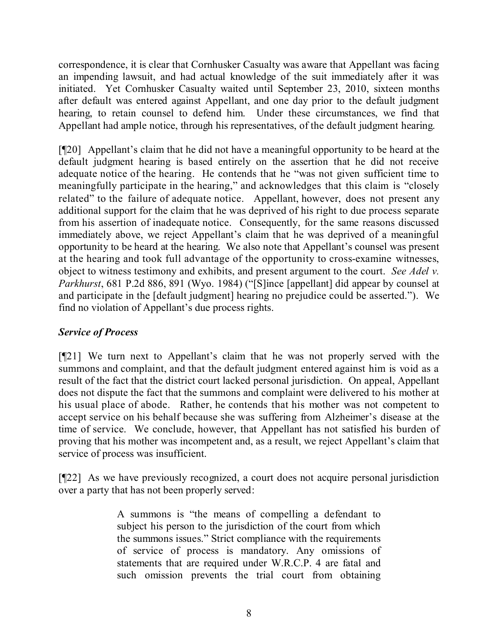correspondence, it is clear that Cornhusker Casualty was aware that Appellant was facing an impending lawsuit, and had actual knowledge of the suit immediately after it was initiated. Yet Cornhusker Casualty waited until September 23, 2010, sixteen months after default was entered against Appellant, and one day prior to the default judgment hearing, to retain counsel to defend him. Under these circumstances, we find that Appellant had ample notice, through his representatives, of the default judgment hearing.

[¶20] Appellant's claim that he did not have a meaningful opportunity to be heard at the default judgment hearing is based entirely on the assertion that he did not receive adequate notice of the hearing. He contends that he "was not given sufficient time to meaningfully participate in the hearing," and acknowledges that this claim is "closely related" to the failure of adequate notice. Appellant, however, does not present any additional support for the claim that he was deprived of his right to due process separate from his assertion of inadequate notice. Consequently, for the same reasons discussed immediately above, we reject Appellant's claim that he was deprived of a meaningful opportunity to be heard at the hearing. We also note that Appellant's counsel was present at the hearing and took full advantage of the opportunity to cross-examine witnesses, object to witness testimony and exhibits, and present argument to the court. *See Adel v. Parkhurst*, 681 P.2d 886, 891 (Wyo. 1984) ("[S]ince [appellant] did appear by counsel at and participate in the [default judgment] hearing no prejudice could be asserted."). We find no violation of Appellant's due process rights.

# *Service of Process*

[¶21] We turn next to Appellant's claim that he was not properly served with the summons and complaint, and that the default judgment entered against him is void as a result of the fact that the district court lacked personal jurisdiction. On appeal, Appellant does not dispute the fact that the summons and complaint were delivered to his mother at his usual place of abode. Rather, he contends that his mother was not competent to accept service on his behalf because she was suffering from Alzheimer's disease at the time of service. We conclude, however, that Appellant has not satisfied his burden of proving that his mother was incompetent and, as a result, we reject Appellant's claim that service of process was insufficient.

[¶22] As we have previously recognized, a court does not acquire personal jurisdiction over a party that has not been properly served:

> A summons is "the means of compelling a defendant to subject his person to the jurisdiction of the court from which the summons issues." Strict compliance with the requirements of service of process is mandatory. Any omissions of statements that are required under W.R.C.P. 4 are fatal and such omission prevents the trial court from obtaining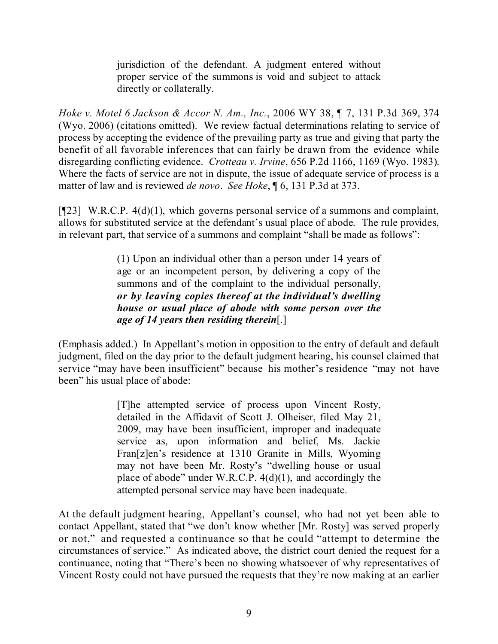jurisdiction of the defendant. A judgment entered without proper service of the summons is void and subject to attack directly or collaterally.

*Hoke v. Motel 6 Jackson & Accor N. Am., Inc.*, 2006 WY 38, ¶ 7, 131 P.3d 369, 374 (Wyo. 2006) (citations omitted). We review factual determinations relating to service of process by accepting the evidence of the prevailing party as true and giving that party the benefit of all favorable inferences that can fairly be drawn from the evidence while disregarding conflicting evidence. *Crotteau v. Irvine*, 656 P.2d 1166, 1169 (Wyo. 1983). Where the facts of service are not in dispute, the issue of adequate service of process is a matter of law and is reviewed *de novo*. *See Hoke*, ¶ 6, 131 P.3d at 373.

[¶23] W.R.C.P. 4(d)(1), which governs personal service of a summons and complaint, allows for substituted service at the defendant's usual place of abode. The rule provides, in relevant part, that service of a summons and complaint "shall be made as follows":

> (1) Upon an individual other than a person under 14 years of age or an incompetent person, by delivering a copy of the summons and of the complaint to the individual personally, *or by leaving copies thereof at the individual's dwelling house or usual place of abode with some person over the age of 14 years then residing therein*[.]

(Emphasis added.) In Appellant's motion in opposition to the entry of default and default judgment, filed on the day prior to the default judgment hearing, his counsel claimed that service "may have been insufficient" because his mother's residence "may not have been" his usual place of abode:

> [T]he attempted service of process upon Vincent Rosty, detailed in the Affidavit of Scott J. Olheiser, filed May 21, 2009, may have been insufficient, improper and inadequate service as, upon information and belief, Ms. Jackie Fran[z]en's residence at 1310 Granite in Mills, Wyoming may not have been Mr. Rosty's "dwelling house or usual place of abode" under W.R.C.P. 4(d)(1), and accordingly the attempted personal service may have been inadequate.

At the default judgment hearing, Appellant's counsel, who had not yet been able to contact Appellant, stated that "we don't know whether [Mr. Rosty] was served properly or not," and requested a continuance so that he could "attempt to determine the circumstances of service." As indicated above, the district court denied the request for a continuance, noting that "There's been no showing whatsoever of why representatives of Vincent Rosty could not have pursued the requests that they're now making at an earlier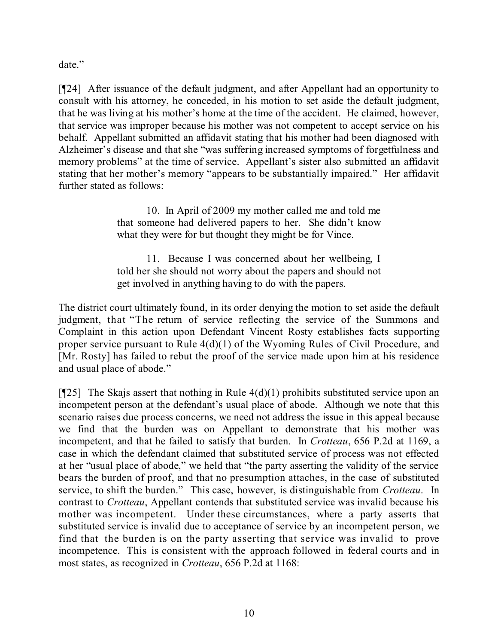date."

[¶24] After issuance of the default judgment, and after Appellant had an opportunity to consult with his attorney, he conceded, in his motion to set aside the default judgment, that he was living at his mother's home at the time of the accident. He claimed, however, that service was improper because his mother was not competent to accept service on his behalf. Appellant submitted an affidavit stating that his mother had been diagnosed with Alzheimer's disease and that she "was suffering increased symptoms of forgetfulness and memory problems" at the time of service. Appellant's sister also submitted an affidavit stating that her mother's memory "appears to be substantially impaired." Her affidavit further stated as follows:

> 10. In April of 2009 my mother called me and told me that someone had delivered papers to her. She didn't know what they were for but thought they might be for Vince.

> 11. Because I was concerned about her wellbeing, I told her she should not worry about the papers and should not get involved in anything having to do with the papers.

The district court ultimately found, in its order denying the motion to set aside the default judgment, that "The return of service reflecting the service of the Summons and Complaint in this action upon Defendant Vincent Rosty establishes facts supporting proper service pursuant to Rule 4(d)(1) of the Wyoming Rules of Civil Procedure, and [Mr. Rosty] has failed to rebut the proof of the service made upon him at his residence and usual place of abode."

[ $[25]$ ] The Skajs assert that nothing in Rule  $4(d)(1)$  prohibits substituted service upon an incompetent person at the defendant's usual place of abode. Although we note that this scenario raises due process concerns, we need not address the issue in this appeal because we find that the burden was on Appellant to demonstrate that his mother was incompetent, and that he failed to satisfy that burden. In *Crotteau*, 656 P.2d at 1169, a case in which the defendant claimed that substituted service of process was not effected at her "usual place of abode," we held that "the party asserting the validity of the service bears the burden of proof, and that no presumption attaches, in the case of substituted service, to shift the burden." This case, however, is distinguishable from *Crotteau*. In contrast to *Crotteau*, Appellant contends that substituted service was invalid because his mother was incompetent. Under these circumstances, where a party asserts that substituted service is invalid due to acceptance of service by an incompetent person, we find that the burden is on the party asserting that service was invalid to prove incompetence. This is consistent with the approach followed in federal courts and in most states, as recognized in *Crotteau*, 656 P.2d at 1168: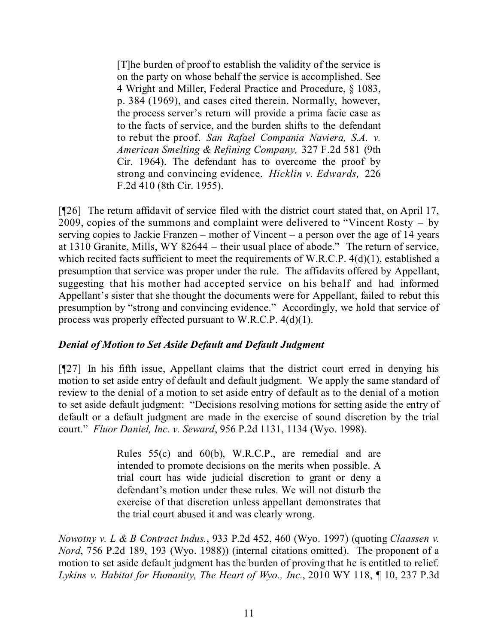[T]he burden of proof to establish the validity of the service is on the party on whose behalf the service is accomplished. See 4 Wright and Miller, Federal Practice and Procedure, § 1083, p. 384 (1969), and cases cited therein. Normally, however, the process server's return will provide a prima facie case as to the facts of service, and the burden shifts to the defendant to rebut the proof. *San Rafael Compania Naviera, S.A. v. American Smelting & Refining Company,* 327 F.2d 581 (9th Cir. 1964). The defendant has to overcome the proof by strong and convincing evidence. *Hicklin v. Edwards,* 226 F.2d 410 (8th Cir. 1955).

[¶26] The return affidavit of service filed with the district court stated that, on April 17, 2009, copies of the summons and complaint were delivered to "Vincent Rosty – by serving copies to Jackie Franzen – mother of Vincent – a person over the age of 14 years at 1310 Granite, Mills, WY 82644 – their usual place of abode." The return of service, which recited facts sufficient to meet the requirements of W.R.C.P. 4(d)(1), established a presumption that service was proper under the rule. The affidavits offered by Appellant, suggesting that his mother had accepted service on his behalf and had informed Appellant's sister that she thought the documents were for Appellant, failed to rebut this presumption by "strong and convincing evidence." Accordingly, we hold that service of process was properly effected pursuant to W.R.C.P. 4(d)(1).

## *Denial of Motion to Set Aside Default and Default Judgment*

[¶27] In his fifth issue, Appellant claims that the district court erred in denying his motion to set aside entry of default and default judgment. We apply the same standard of review to the denial of a motion to set aside entry of default as to the denial of a motion to set aside default judgment: "Decisions resolving motions for setting aside the entry of default or a default judgment are made in the exercise of sound discretion by the trial court." *Fluor Daniel, Inc. v. Seward*, 956 P.2d 1131, 1134 (Wyo. 1998).

> Rules 55(c) and 60(b), W.R.C.P., are remedial and are intended to promote decisions on the merits when possible. A trial court has wide judicial discretion to grant or deny a defendant's motion under these rules. We will not disturb the exercise of that discretion unless appellant demonstrates that the trial court abused it and was clearly wrong.

*Nowotny v. L & B Contract Indus.*, 933 P.2d 452, 460 (Wyo. 1997) (quoting *Claassen v. Nord*, 756 P.2d 189, 193 (Wyo. 1988)) (internal citations omitted). The proponent of a motion to set aside default judgment has the burden of proving that he is entitled to relief. *Lykins v. Habitat for Humanity, The Heart of Wyo., Inc.*, 2010 WY 118, ¶ 10, 237 P.3d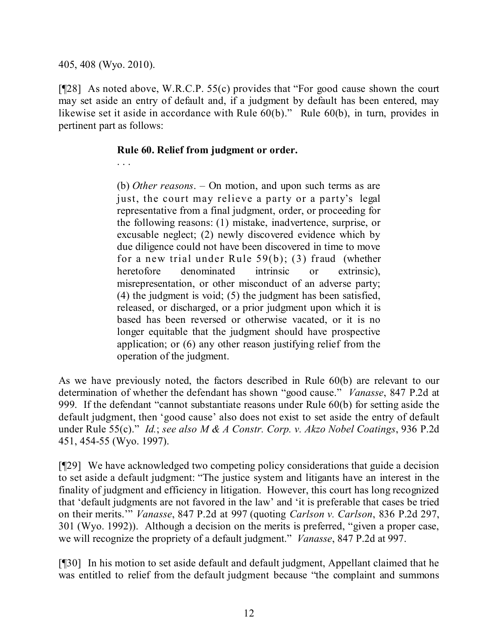405, 408 (Wyo. 2010).

. . .

[¶28] As noted above, W.R.C.P. 55(c) provides that "For good cause shown the court may set aside an entry of default and, if a judgment by default has been entered, may likewise set it aside in accordance with Rule 60(b)." Rule 60(b), in turn, provides in pertinent part as follows:

## **Rule 60. Relief from judgment or order.**

(b) *Other reasons*. – On motion, and upon such terms as are just, the court may relieve a party or a party's legal representative from a final judgment, order, or proceeding for the following reasons: (1) mistake, inadvertence, surprise, or excusable neglect; (2) newly discovered evidence which by due diligence could not have been discovered in time to move for a new trial under Rule 59(b); (3) fraud (whether heretofore denominated intrinsic or extrinsic). misrepresentation, or other misconduct of an adverse party; (4) the judgment is void; (5) the judgment has been satisfied, released, or discharged, or a prior judgment upon which it is based has been reversed or otherwise vacated, or it is no longer equitable that the judgment should have prospective application; or (6) any other reason justifying relief from the operation of the judgment.

As we have previously noted, the factors described in Rule 60(b) are relevant to our determination of whether the defendant has shown "good cause." *Vanasse*, 847 P.2d at 999. If the defendant "cannot substantiate reasons under Rule 60(b) for setting aside the default judgment, then 'good cause' also does not exist to set aside the entry of default under Rule 55(c)." *Id.*; *see also M & A Constr. Corp. v. Akzo Nobel Coatings*, 936 P.2d 451, 454-55 (Wyo. 1997).

[¶29] We have acknowledged two competing policy considerations that guide a decision to set aside a default judgment: "The justice system and litigants have an interest in the finality of judgment and efficiency in litigation. However, this court has long recognized that 'default judgments are not favored in the law' and 'it is preferable that cases be tried on their merits.'" *Vanasse*, 847 P.2d at 997 (quoting *Carlson v. Carlson*, 836 P.2d 297, 301 (Wyo. 1992)). Although a decision on the merits is preferred, "given a proper case, we will recognize the propriety of a default judgment." *Vanasse*, 847 P.2d at 997.

[¶30] In his motion to set aside default and default judgment, Appellant claimed that he was entitled to relief from the default judgment because "the complaint and summons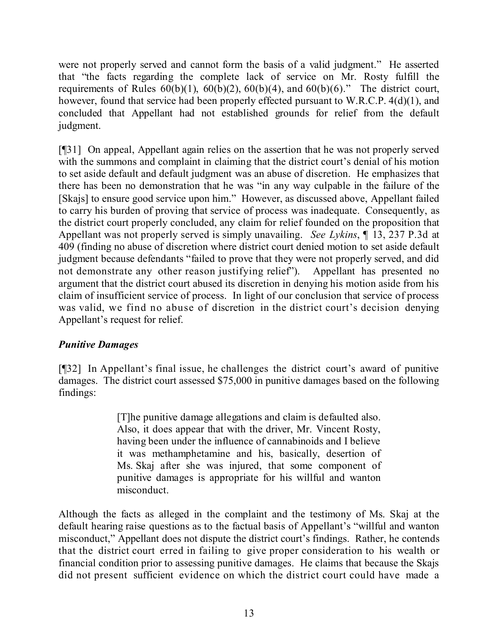were not properly served and cannot form the basis of a valid judgment." He asserted that "the facts regarding the complete lack of service on Mr. Rosty fulfill the requirements of Rules  $60(b)(1)$ ,  $60(b)(2)$ ,  $60(b)(4)$ , and  $60(b)(6)$ ." The district court, however, found that service had been properly effected pursuant to W.R.C.P. 4(d)(1), and concluded that Appellant had not established grounds for relief from the default judgment.

[¶31] On appeal, Appellant again relies on the assertion that he was not properly served with the summons and complaint in claiming that the district court's denial of his motion to set aside default and default judgment was an abuse of discretion. He emphasizes that there has been no demonstration that he was "in any way culpable in the failure of the [Skajs] to ensure good service upon him." However, as discussed above, Appellant failed to carry his burden of proving that service of process was inadequate. Consequently, as the district court properly concluded, any claim for relief founded on the proposition that Appellant was not properly served is simply unavailing. *See Lykins*, ¶ 13, 237 P.3d at 409 (finding no abuse of discretion where district court denied motion to set aside default judgment because defendants "failed to prove that they were not properly served, and did not demonstrate any other reason justifying relief"). Appellant has presented no argument that the district court abused its discretion in denying his motion aside from his claim of insufficient service of process. In light of our conclusion that service of process was valid, we find no abuse of discretion in the district court's decision denying Appellant's request for relief.

# *Punitive Damages*

[¶32] In Appellant's final issue, he challenges the district court's award of punitive damages. The district court assessed \$75,000 in punitive damages based on the following findings:

> [T]he punitive damage allegations and claim is defaulted also. Also, it does appear that with the driver, Mr. Vincent Rosty, having been under the influence of cannabinoids and I believe it was methamphetamine and his, basically, desertion of Ms. Skaj after she was injured, that some component of punitive damages is appropriate for his willful and wanton misconduct.

Although the facts as alleged in the complaint and the testimony of Ms. Skaj at the default hearing raise questions as to the factual basis of Appellant's "willful and wanton misconduct," Appellant does not dispute the district court's findings. Rather, he contends that the district court erred in failing to give proper consideration to his wealth or financial condition prior to assessing punitive damages. He claims that because the Skajs did not present sufficient evidence on which the district court could have made a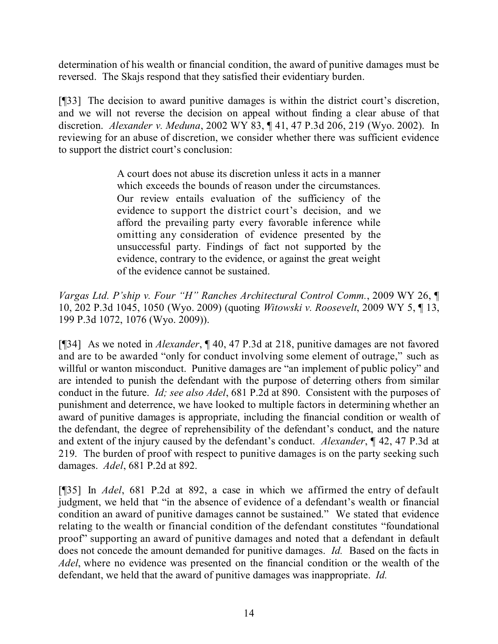determination of his wealth or financial condition, the award of punitive damages must be reversed. The Skajs respond that they satisfied their evidentiary burden.

[¶33] The decision to award punitive damages is within the district court's discretion, and we will not reverse the decision on appeal without finding a clear abuse of that discretion. *Alexander v. Meduna*, 2002 WY 83, ¶ 41, 47 P.3d 206, 219 (Wyo. 2002). In reviewing for an abuse of discretion, we consider whether there was sufficient evidence to support the district court's conclusion:

> A court does not abuse its discretion unless it acts in a manner which exceeds the bounds of reason under the circumstances. Our review entails evaluation of the sufficiency of the evidence to support the district court's decision, and we afford the prevailing party every favorable inference while omitting any consideration of evidence presented by the unsuccessful party. Findings of fact not supported by the evidence, contrary to the evidence, or against the great weight of the evidence cannot be sustained.

*Vargas Ltd. P'ship v. Four "H" Ranches Architectural Control Comm.*, 2009 WY 26, ¶ 10, 202 P.3d 1045, 1050 (Wyo. 2009) (quoting *Witowski v. Roosevelt*, 2009 WY 5, ¶ 13, 199 P.3d 1072, 1076 (Wyo. 2009)).

[¶34] As we noted in *Alexander*, ¶ 40, 47 P.3d at 218, punitive damages are not favored and are to be awarded "only for conduct involving some element of outrage," such as willful or wanton misconduct. Punitive damages are "an implement of public policy" and are intended to punish the defendant with the purpose of deterring others from similar conduct in the future. *Id; see also Adel*, 681 P.2d at 890. Consistent with the purposes of punishment and deterrence, we have looked to multiple factors in determining whether an award of punitive damages is appropriate, including the financial condition or wealth of the defendant, the degree of reprehensibility of the defendant's conduct, and the nature and extent of the injury caused by the defendant's conduct. *Alexander*, ¶ 42, 47 P.3d at 219. The burden of proof with respect to punitive damages is on the party seeking such damages. *Adel*, 681 P.2d at 892.

[¶35] In *Adel*, 681 P.2d at 892, a case in which we affirmed the entry of default judgment, we held that "in the absence of evidence of a defendant's wealth or financial condition an award of punitive damages cannot be sustained." We stated that evidence relating to the wealth or financial condition of the defendant constitutes "foundational proof" supporting an award of punitive damages and noted that a defendant in default does not concede the amount demanded for punitive damages. *Id.* Based on the facts in *Adel*, where no evidence was presented on the financial condition or the wealth of the defendant, we held that the award of punitive damages was inappropriate. *Id.*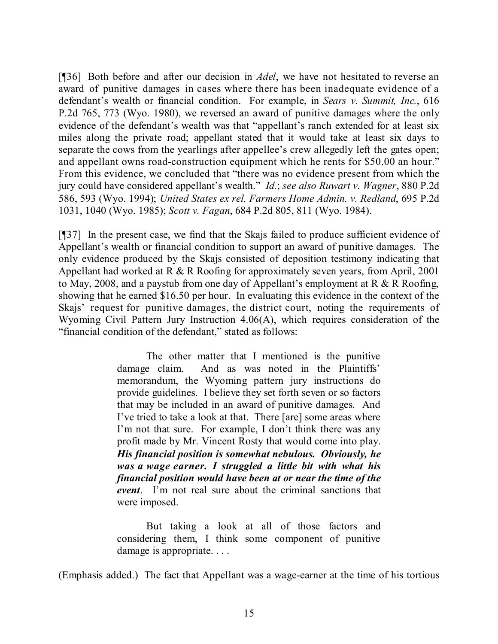[¶36] Both before and after our decision in *Adel*, we have not hesitated to reverse an award of punitive damages in cases where there has been inadequate evidence of a defendant's wealth or financial condition. For example, in *Sears v. Summit, Inc.*, 616 P.2d 765, 773 (Wyo. 1980), we reversed an award of punitive damages where the only evidence of the defendant's wealth was that "appellant's ranch extended for at least six miles along the private road; appellant stated that it would take at least six days to separate the cows from the yearlings after appellee's crew allegedly left the gates open; and appellant owns road-construction equipment which he rents for \$50.00 an hour." From this evidence, we concluded that "there was no evidence present from which the jury could have considered appellant's wealth." *Id.*; *see also Ruwart v. Wagner*, 880 P.2d 586, 593 (Wyo. 1994); *United States ex rel. Farmers Home Admin. v. Redland*, 695 P.2d 1031, 1040 (Wyo. 1985); *Scott v. Fagan*, 684 P.2d 805, 811 (Wyo. 1984).

[¶37] In the present case, we find that the Skajs failed to produce sufficient evidence of Appellant's wealth or financial condition to support an award of punitive damages. The only evidence produced by the Skajs consisted of deposition testimony indicating that Appellant had worked at R & R Roofing for approximately seven years, from April, 2001 to May, 2008, and a paystub from one day of Appellant's employment at R & R Roofing, showing that he earned \$16.50 per hour. In evaluating this evidence in the context of the Skajs' request for punitive damages, the district court, noting the requirements of Wyoming Civil Pattern Jury Instruction 4.06(A), which requires consideration of the "financial condition of the defendant," stated as follows:

> The other matter that I mentioned is the punitive damage claim. And as was noted in the Plaintiffs' memorandum, the Wyoming pattern jury instructions do provide guidelines. I believe they set forth seven or so factors that may be included in an award of punitive damages. And I've tried to take a look at that. There [are] some areas where I'm not that sure. For example, I don't think there was any profit made by Mr. Vincent Rosty that would come into play. *His financial position is somewhat nebulous. Obviously, he was a wage earner. I struggled a little bit with what his financial position would have been at or near the time of the event*. I'm not real sure about the criminal sanctions that were imposed.

> But taking a look at all of those factors and considering them, I think some component of punitive damage is appropriate. . . .

(Emphasis added.) The fact that Appellant was a wage-earner at the time of his tortious